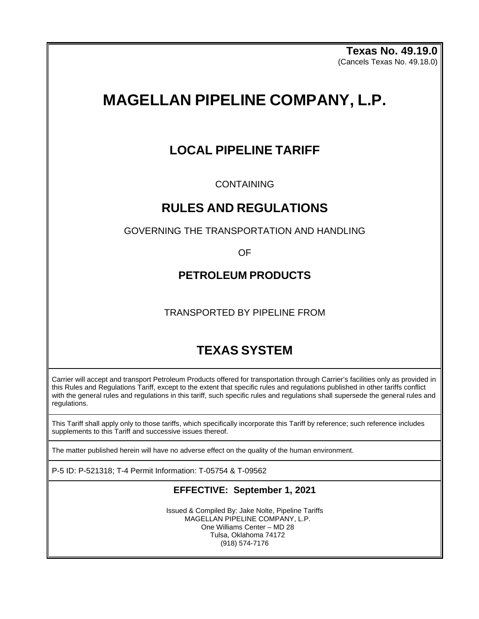**Texas No. 49.19.0** (Cancels Texas No. 49.18.0)

# **MAGELLAN PIPELINE COMPANY, L.P.**

# **LOCAL PIPELINE TARIFF**

CONTAINING

# **RULES AND REGULATIONS**

GOVERNING THE TRANSPORTATION AND HANDLING

OF

# **PETROLEUM PRODUCTS**

TRANSPORTED BY PIPELINE FROM

# **TEXAS SYSTEM**

Carrier will accept and transport Petroleum Products offered for transportation through Carrier's facilities only as provided in this Rules and Regulations Tariff, except to the extent that specific rules and regulations published in other tariffs conflict with the general rules and regulations in this tariff, such specific rules and regulations shall supersede the general rules and regulations.

This Tariff shall apply only to those tariffs, which specifically incorporate this Tariff by reference; such reference includes supplements to this Tariff and successive issues thereof.

The matter published herein will have no adverse effect on the quality of the human environment.

P-5 ID: P-521318; T-4 Permit Information: T-05754 & T-09562

# **EFFECTIVE: September 1, 2021**

Issued & Compiled By: Jake Nolte, Pipeline Tariffs MAGELLAN PIPELINE COMPANY, L.P. One Williams Center – MD 28 Tulsa, Oklahoma 74172 (918) 574-7176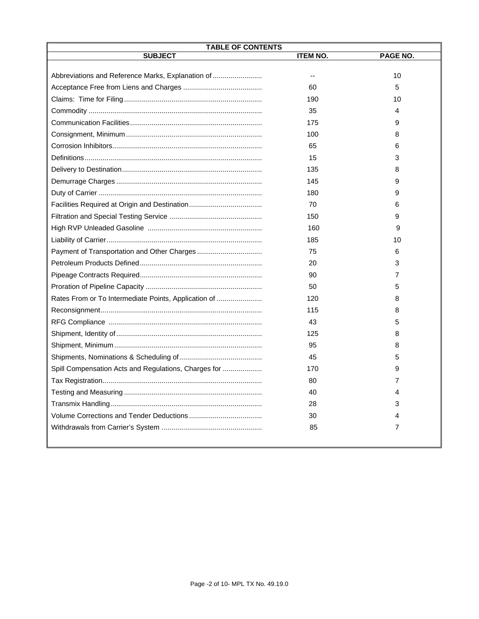| <b>TABLE OF CONTENTS</b>                             |                 |          |  |
|------------------------------------------------------|-----------------|----------|--|
| <b>SUBJECT</b>                                       | <b>ITEM NO.</b> | PAGE NO. |  |
|                                                      |                 |          |  |
| Abbreviations and Reference Marks, Explanation of    | --              | 10       |  |
|                                                      | 60              | 5        |  |
|                                                      | 190             | 10       |  |
|                                                      | 35              | 4        |  |
|                                                      | 175             | 9        |  |
|                                                      | 100             | 8        |  |
|                                                      | 65              | 6        |  |
|                                                      | 15              | 3        |  |
|                                                      | 135             | 8        |  |
|                                                      | 145             | 9        |  |
|                                                      | 180             | 9        |  |
|                                                      | 70              | 6        |  |
|                                                      | 150             | 9        |  |
|                                                      | 160             | 9        |  |
|                                                      | 185             | 10       |  |
|                                                      | 75              | 6        |  |
|                                                      | 20              | 3        |  |
|                                                      | 90              | 7        |  |
|                                                      | 50              | 5        |  |
| Rates From or To Intermediate Points, Application of | 120             | 8        |  |
|                                                      | 115             | 8        |  |
|                                                      | 43              | 5        |  |
|                                                      | 125             | 8        |  |
|                                                      | 95              | 8        |  |
|                                                      | 45              | 5        |  |
| Spill Compensation Acts and Regulations, Charges for | 170             | 9        |  |
|                                                      | 80              | 7        |  |
|                                                      | 40              | 4        |  |
|                                                      | 28              | 3        |  |
|                                                      | 30              | 4        |  |
|                                                      | 85              | 7        |  |
|                                                      |                 |          |  |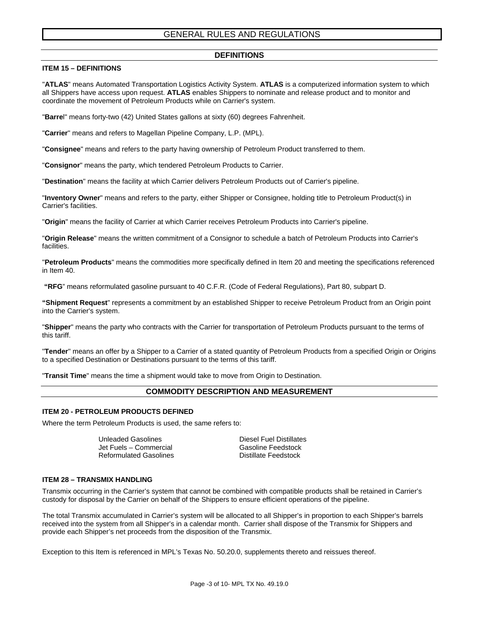# GENERAL RULES AND REGULATIONS

#### **DEFINITIONS**

#### **ITEM 15 – DEFINITIONS**

"**ATLAS**" means Automated Transportation Logistics Activity System. **ATLAS** is a computerized information system to which all Shippers have access upon request. **ATLAS** enables Shippers to nominate and release product and to monitor and coordinate the movement of Petroleum Products while on Carrier's system.

"**Barre**l" means forty-two (42) United States gallons at sixty (60) degrees Fahrenheit.

"**Carrier**" means and refers to Magellan Pipeline Company, L.P. (MPL).

"**Consignee**" means and refers to the party having ownership of Petroleum Product transferred to them.

"**Consignor**" means the party, which tendered Petroleum Products to Carrier.

"**Destination**" means the facility at which Carrier delivers Petroleum Products out of Carrier's pipeline.

"**Inventory Owner**" means and refers to the party, either Shipper or Consignee, holding title to Petroleum Product(s) in Carrier's facilities.

"**Origin**" means the facility of Carrier at which Carrier receives Petroleum Products into Carrier's pipeline.

"**Origin Release**" means the written commitment of a Consignor to schedule a batch of Petroleum Products into Carrier's facilities.

"**Petroleum Products**" means the commodities more specifically defined in Item 20 and meeting the specifications referenced in Item 40.

**"RFG**" means reformulated gasoline pursuant to 40 C.F.R. (Code of Federal Regulations), Part 80, subpart D.

**"Shipment Request**" represents a commitment by an established Shipper to receive Petroleum Product from an Origin point into the Carrier's system.

"**Shipper**" means the party who contracts with the Carrier for transportation of Petroleum Products pursuant to the terms of this tariff.

"**Tender**" means an offer by a Shipper to a Carrier of a stated quantity of Petroleum Products from a specified Origin or Origins to a specified Destination or Destinations pursuant to the terms of this tariff.

"**Transit Time**" means the time a shipment would take to move from Origin to Destination.

### **COMMODITY DESCRIPTION AND MEASUREMENT**

#### **ITEM 20 - PETROLEUM PRODUCTS DEFINED**

Where the term Petroleum Products is used, the same refers to:

Jet Fuels – Commercial Gasoline Feedstock Reformulated Gasolines

Unleaded Gasolines **Diesel Fuel Distillates** 

#### **ITEM 28 – TRANSMIX HANDLING**

Transmix occurring in the Carrier's system that cannot be combined with compatible products shall be retained in Carrier's custody for disposal by the Carrier on behalf of the Shippers to ensure efficient operations of the pipeline.

The total Transmix accumulated in Carrier's system will be allocated to all Shipper's in proportion to each Shipper's barrels received into the system from all Shipper's in a calendar month. Carrier shall dispose of the Transmix for Shippers and provide each Shipper's net proceeds from the disposition of the Transmix.

Exception to this Item is referenced in MPL's Texas No. 50.20.0, supplements thereto and reissues thereof.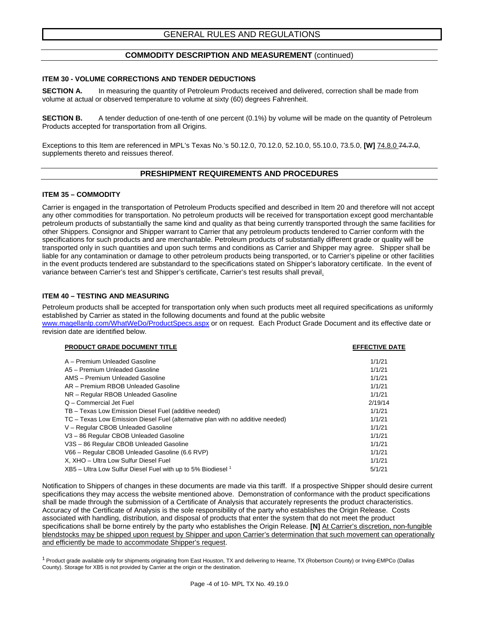#### **COMMODITY DESCRIPTION AND MEASUREMENT** (continued)

#### **ITEM 30 - VOLUME CORRECTIONS AND TENDER DEDUCTIONS**

**SECTION A.** In measuring the quantity of Petroleum Products received and delivered, correction shall be made from volume at actual or observed temperature to volume at sixty (60) degrees Fahrenheit.

**SECTION B.** A tender deduction of one-tenth of one percent (0.1%) by volume will be made on the quantity of Petroleum Products accepted for transportation from all Origins.

Exceptions to this Item are referenced in MPL's Texas No.'s 50.12.0, 70.12.0, 52.10.0, 55.10.0, 73.5.0, **[W]** 74.8.0 74.7.0, supplements thereto and reissues thereof.

#### **PRESHIPMENT REQUIREMENTS AND PROCEDURES**

#### **ITEM 35 – COMMODITY**

Carrier is engaged in the transportation of Petroleum Products specified and described in Item 20 and therefore will not accept any other commodities for transportation. No petroleum products will be received for transportation except good merchantable petroleum products of substantially the same kind and quality as that being currently transported through the same facilities for other Shippers. Consignor and Shipper warrant to Carrier that any petroleum products tendered to Carrier conform with the specifications for such products and are merchantable. Petroleum products of substantially different grade or quality will be transported only in such quantities and upon such terms and conditions as Carrier and Shipper may agree. Shipper shall be liable for any contamination or damage to other petroleum products being transported, or to Carrier's pipeline or other facilities in the event products tendered are substandard to the specifications stated on Shipper's laboratory certificate. In the event of variance between Carrier's test and Shipper's certificate, Carrier's test results shall prevail.

#### **ITEM 40 – TESTING AND MEASURING**

Petroleum products shall be accepted for transportation only when such products meet all required specifications as uniformly established by Carrier as stated in the following documents and found at the public website

[www.magellanlp.com/WhatWeDo/ProductSpecs.aspx](http://www.magellanlp.com/WhatWeDo/ProductSpecs.aspx) or on request. Each Product Grade Document and its effective date or revision date are identified below.

| <b>PRODUCT GRADE DOCUMENT TITLE</b>                                            | <b>EFFECTIVE DATE</b> |
|--------------------------------------------------------------------------------|-----------------------|
| A - Premium Unleaded Gasoline                                                  | 1/1/21                |
| A5 - Premium Unleaded Gasoline                                                 | 1/1/21                |
| AMS - Premium Unleaded Gasoline                                                | 1/1/21                |
| AR - Premium RBOB Unleaded Gasoline                                            | 1/1/21                |
| NR - Regular RBOB Unleaded Gasoline                                            | 1/1/21                |
| Q - Commercial Jet Fuel                                                        | 2/19/14               |
| TB - Texas Low Emission Diesel Fuel (additive needed)                          | 1/1/21                |
| TC – Texas Low Emission Diesel Fuel (alternative plan with no additive needed) | 1/1/21                |
| V - Regular CBOB Unleaded Gasoline                                             | 1/1/21                |
| V3-86 Regular CBOB Unleaded Gasoline                                           | 1/1/21                |
| V3S-86 Regular CBOB Unleaded Gasoline                                          | 1/1/21                |
| V66 - Regular CBOB Unleaded Gasoline (6.6 RVP)                                 | 1/1/21                |
| X, XHO - Ultra Low Sulfur Diesel Fuel                                          | 1/1/21                |
| $XB5$ – Ultra Low Sulfur Diesel Fuel with up to 5% Biodiesel 1                 | 5/1/21                |
|                                                                                |                       |

Notification to Shippers of changes in these documents are made via this tariff. If a prospective Shipper should desire current specifications they may access the website mentioned above. Demonstration of conformance with the product specifications shall be made through the submission of a Certificate of Analysis that accurately represents the product characteristics. Accuracy of the Certificate of Analysis is the sole responsibility of the party who establishes the Origin Release. Costs associated with handling, distribution, and disposal of products that enter the system that do not meet the product specifications shall be borne entirely by the party who establishes the Origin Release. **[N]** At Carrier's discretion, non-fungible blendstocks may be shipped upon request by Shipper and upon Carrier's determination that such movement can operationally and efficiently be made to accommodate Shipper's request.

<sup>1</sup> Product grade available only for shipments originating from East Houston, TX and delivering to Hearne, TX (Robertson County) or Irving-EMPCo (Dallas County). Storage for XB5 is not provided by Carrier at the origin or the destination.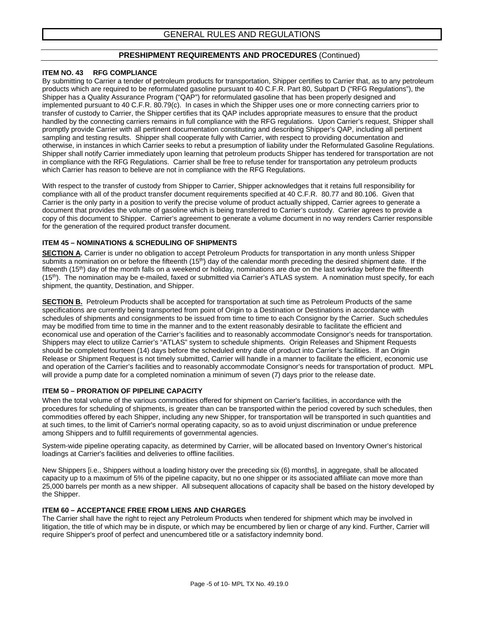# **PRESHIPMENT REQUIREMENTS AND PROCEDURES** (Continued)

#### **ITEM NO. 43 RFG COMPLIANCE**

By submitting to Carrier a tender of petroleum products for transportation, Shipper certifies to Carrier that, as to any petroleum products which are required to be reformulated gasoline pursuant to 40 C.F.R. Part 80, Subpart D ("RFG Regulations"), the Shipper has a Quality Assurance Program ("QAP") for reformulated gasoline that has been properly designed and implemented pursuant to 40 C.F.R. 80.79(c). In cases in which the Shipper uses one or more connecting carriers prior to transfer of custody to Carrier, the Shipper certifies that its QAP includes appropriate measures to ensure that the product handled by the connecting carriers remains in full compliance with the RFG regulations. Upon Carrier's request, Shipper shall promptly provide Carrier with all pertinent documentation constituting and describing Shipper's QAP, including all pertinent sampling and testing results. Shipper shall cooperate fully with Carrier, with respect to providing documentation and otherwise, in instances in which Carrier seeks to rebut a presumption of liability under the Reformulated Gasoline Regulations. Shipper shall notify Carrier immediately upon learning that petroleum products Shipper has tendered for transportation are not in compliance with the RFG Regulations. Carrier shall be free to refuse tender for transportation any petroleum products which Carrier has reason to believe are not in compliance with the RFG Regulations.

With respect to the transfer of custody from Shipper to Carrier, Shipper acknowledges that it retains full responsibility for compliance with all of the product transfer document requirements specified at 40 C.F.R. 80.77 and 80.106. Given that Carrier is the only party in a position to verify the precise volume of product actually shipped, Carrier agrees to generate a document that provides the volume of gasoline which is being transferred to Carrier's custody. Carrier agrees to provide a copy of this document to Shipper. Carrier's agreement to generate a volume document in no way renders Carrier responsible for the generation of the required product transfer document.

### **ITEM 45 – NOMINATIONS & SCHEDULING OF SHIPMENTS**

**SECTION A.** Carrier is under no obligation to accept Petroleum Products for transportation in any month unless Shipper submits a nomination on or before the fifteenth (15<sup>th</sup>) day of the calendar month preceding the desired shipment date. If the fifteenth (15<sup>th</sup>) day of the month falls on a weekend or holiday, nominations are due on the last workday before the fifteenth  $(15<sup>th</sup>)$ . The nomination may be e-mailed, faxed or submitted via Carrier's ATLAS system. A nomination must specify, for each shipment, the quantity, Destination, and Shipper.

**SECTION B.** Petroleum Products shall be accepted for transportation at such time as Petroleum Products of the same specifications are currently being transported from point of Origin to a Destination or Destinations in accordance with schedules of shipments and consignments to be issued from time to time to each Consignor by the Carrier. Such schedules may be modified from time to time in the manner and to the extent reasonably desirable to facilitate the efficient and economical use and operation of the Carrier's facilities and to reasonably accommodate Consignor's needs for transportation. Shippers may elect to utilize Carrier's "ATLAS" system to schedule shipments. Origin Releases and Shipment Requests should be completed fourteen (14) days before the scheduled entry date of product into Carrier's facilities. If an Origin Release or Shipment Request is not timely submitted, Carrier will handle in a manner to facilitate the efficient, economic use and operation of the Carrier's facilities and to reasonably accommodate Consignor's needs for transportation of product. MPL will provide a pump date for a completed nomination a minimum of seven (7) days prior to the release date.

#### **ITEM 50 – PRORATION OF PIPELINE CAPACITY**

When the total volume of the various commodities offered for shipment on Carrier's facilities, in accordance with the procedures for scheduling of shipments, is greater than can be transported within the period covered by such schedules, then commodities offered by each Shipper, including any new Shipper, for transportation will be transported in such quantities and at such times, to the limit of Carrier's normal operating capacity, so as to avoid unjust discrimination or undue preference among Shippers and to fulfill requirements of governmental agencies.

System-wide pipeline operating capacity, as determined by Carrier, will be allocated based on Inventory Owner's historical loadings at Carrier's facilities and deliveries to offline facilities.

New Shippers [i.e., Shippers without a loading history over the preceding six (6) months], in aggregate, shall be allocated capacity up to a maximum of 5% of the pipeline capacity, but no one shipper or its associated affiliate can move more than 25,000 barrels per month as a new shipper. All subsequent allocations of capacity shall be based on the history developed by the Shipper.

#### **ITEM 60 – ACCEPTANCE FREE FROM LIENS AND CHARGES**

The Carrier shall have the right to reject any Petroleum Products when tendered for shipment which may be involved in litigation, the title of which may be in dispute, or which may be encumbered by lien or charge of any kind. Further, Carrier will require Shipper's proof of perfect and unencumbered title or a satisfactory indemnity bond.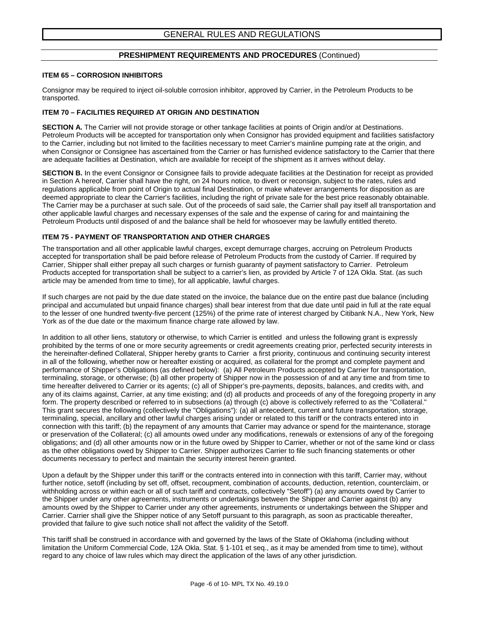#### **PRESHIPMENT REQUIREMENTS AND PROCEDURES** (Continued)

#### **ITEM 65 – CORROSION INHIBITORS**

Consignor may be required to inject oil-soluble corrosion inhibitor, approved by Carrier, in the Petroleum Products to be transported.

#### **ITEM 70 – FACILITIES REQUIRED AT ORIGIN AND DESTINATION**

**SECTION A.** The Carrier will not provide storage or other tankage facilities at points of Origin and/or at Destinations. Petroleum Products will be accepted for transportation only when Consignor has provided equipment and facilities satisfactory to the Carrier, including but not limited to the facilities necessary to meet Carrier's mainline pumping rate at the origin, and when Consignor or Consignee has ascertained from the Carrier or has furnished evidence satisfactory to the Carrier that there are adequate facilities at Destination, which are available for receipt of the shipment as it arrives without delay.

**SECTION B.** In the event Consignor or Consignee fails to provide adequate facilities at the Destination for receipt as provided in Section A hereof, Carrier shall have the right, on 24 hours notice, to divert or reconsign, subject to the rates, rules and regulations applicable from point of Origin to actual final Destination, or make whatever arrangements for disposition as are deemed appropriate to clear the Carrier's facilities, including the right of private sale for the best price reasonably obtainable. The Carrier may be a purchaser at such sale. Out of the proceeds of said sale, the Carrier shall pay itself all transportation and other applicable lawful charges and necessary expenses of the sale and the expense of caring for and maintaining the Petroleum Products until disposed of and the balance shall be held for whosoever may be lawfully entitled thereto.

#### **ITEM 75 - PAYMENT OF TRANSPORTATION AND OTHER CHARGES**

The transportation and all other applicable lawful charges, except demurrage charges, accruing on Petroleum Products accepted for transportation shall be paid before release of Petroleum Products from the custody of Carrier. If required by Carrier, Shipper shall either prepay all such charges or furnish guaranty of payment satisfactory to Carrier. Petroleum Products accepted for transportation shall be subject to a carrier's lien, as provided by Article 7 of 12A Okla. Stat. (as such article may be amended from time to time), for all applicable, lawful charges.

If such charges are not paid by the due date stated on the invoice, the balance due on the entire past due balance (including principal and accumulated but unpaid finance charges) shall bear interest from that due date until paid in full at the rate equal to the lesser of one hundred twenty-five percent (125%) of the prime rate of interest charged by Citibank N.A., New York, New York as of the due date or the maximum finance charge rate allowed by law.

In addition to all other liens, statutory or otherwise, to which Carrier is entitled and unless the following grant is expressly prohibited by the terms of one or more security agreements or credit agreements creating prior, perfected security interests in the hereinafter-defined Collateral, Shipper hereby grants to Carrier a first priority, continuous and continuing security interest in all of the following, whether now or hereafter existing or acquired, as collateral for the prompt and complete payment and performance of Shipper's Obligations (as defined below): (a) All Petroleum Products accepted by Carrier for transportation, terminaling, storage, or otherwise; (b) all other property of Shipper now in the possession of and at any time and from time to time hereafter delivered to Carrier or its agents; (c) all of Shipper's pre-payments, deposits, balances, and credits with, and any of its claims against, Carrier, at any time existing; and (d) all products and proceeds of any of the foregoing property in any form. The property described or referred to in subsections (a) through (c) above is collectively referred to as the "Collateral." This grant secures the following (collectively the "Obligations"): (a) all antecedent, current and future transportation, storage, terminaling, special, ancillary and other lawful charges arising under or related to this tariff or the contracts entered into in connection with this tariff; (b) the repayment of any amounts that Carrier may advance or spend for the maintenance, storage or preservation of the Collateral; (c) all amounts owed under any modifications, renewals or extensions of any of the foregoing obligations; and (d) all other amounts now or in the future owed by Shipper to Carrier, whether or not of the same kind or class as the other obligations owed by Shipper to Carrier. Shipper authorizes Carrier to file such financing statements or other documents necessary to perfect and maintain the security interest herein granted.

Upon a default by the Shipper under this tariff or the contracts entered into in connection with this tariff, Carrier may, without further notice, setoff (including by set off, offset, recoupment, combination of accounts, deduction, retention, counterclaim, or withholding across or within each or all of such tariff and contracts, collectively "Setoff") (a) any amounts owed by Carrier to the Shipper under any other agreements, instruments or undertakings between the Shipper and Carrier against (b) any amounts owed by the Shipper to Carrier under any other agreements, instruments or undertakings between the Shipper and Carrier. Carrier shall give the Shipper notice of any Setoff pursuant to this paragraph, as soon as practicable thereafter, provided that failure to give such notice shall not affect the validity of the Setoff.

This tariff shall be construed in accordance with and governed by the laws of the State of Oklahoma (including without limitation the Uniform Commercial Code, 12A Okla. Stat. § 1-101 et seq., as it may be amended from time to time), without regard to any choice of law rules which may direct the application of the laws of any other jurisdiction.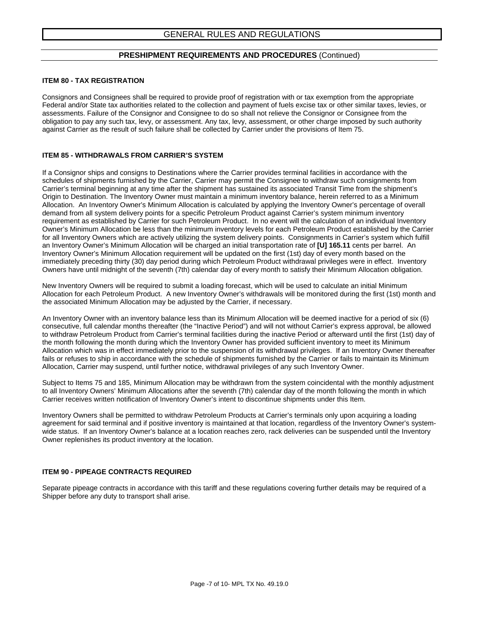#### **PRESHIPMENT REQUIREMENTS AND PROCEDURES** (Continued)

#### **ITEM 80 - TAX REGISTRATION**

Consignors and Consignees shall be required to provide proof of registration with or tax exemption from the appropriate Federal and/or State tax authorities related to the collection and payment of fuels excise tax or other similar taxes, levies, or assessments. Failure of the Consignor and Consignee to do so shall not relieve the Consignor or Consignee from the obligation to pay any such tax, levy, or assessment. Any tax, levy, assessment, or other charge imposed by such authority against Carrier as the result of such failure shall be collected by Carrier under the provisions of Item 75.

#### **ITEM 85 - WITHDRAWALS FROM CARRIER'S SYSTEM**

If a Consignor ships and consigns to Destinations where the Carrier provides terminal facilities in accordance with the schedules of shipments furnished by the Carrier, Carrier may permit the Consignee to withdraw such consignments from Carrier's terminal beginning at any time after the shipment has sustained its associated Transit Time from the shipment's Origin to Destination. The Inventory Owner must maintain a minimum inventory balance, herein referred to as a Minimum Allocation. An Inventory Owner's Minimum Allocation is calculated by applying the Inventory Owner's percentage of overall demand from all system delivery points for a specific Petroleum Product against Carrier's system minimum inventory requirement as established by Carrier for such Petroleum Product. In no event will the calculation of an individual Inventory Owner's Minimum Allocation be less than the minimum inventory levels for each Petroleum Product established by the Carrier for all Inventory Owners which are actively utilizing the system delivery points. Consignments in Carrier's system which fulfill an Inventory Owner's Minimum Allocation will be charged an initial transportation rate of **[U] 165.11** cents per barrel. An Inventory Owner's Minimum Allocation requirement will be updated on the first (1st) day of every month based on the immediately preceding thirty (30) day period during which Petroleum Product withdrawal privileges were in effect. Inventory Owners have until midnight of the seventh (7th) calendar day of every month to satisfy their Minimum Allocation obligation.

New Inventory Owners will be required to submit a loading forecast, which will be used to calculate an initial Minimum Allocation for each Petroleum Product. A new Inventory Owner's withdrawals will be monitored during the first (1st) month and the associated Minimum Allocation may be adjusted by the Carrier, if necessary.

An Inventory Owner with an inventory balance less than its Minimum Allocation will be deemed inactive for a period of six (6) consecutive, full calendar months thereafter (the "Inactive Period") and will not without Carrier's express approval, be allowed to withdraw Petroleum Product from Carrier's terminal facilities during the inactive Period or afterward until the first (1st) day of the month following the month during which the Inventory Owner has provided sufficient inventory to meet its Minimum Allocation which was in effect immediately prior to the suspension of its withdrawal privileges. If an Inventory Owner thereafter fails or refuses to ship in accordance with the schedule of shipments furnished by the Carrier or fails to maintain its Minimum Allocation, Carrier may suspend, until further notice, withdrawal privileges of any such Inventory Owner.

Subject to Items 75 and 185, Minimum Allocation may be withdrawn from the system coincidental with the monthly adjustment to all Inventory Owners' Minimum Allocations after the seventh (7th) calendar day of the month following the month in which Carrier receives written notification of Inventory Owner's intent to discontinue shipments under this Item.

Inventory Owners shall be permitted to withdraw Petroleum Products at Carrier's terminals only upon acquiring a loading agreement for said terminal and if positive inventory is maintained at that location, regardless of the Inventory Owner's systemwide status. If an Inventory Owner's balance at a location reaches zero, rack deliveries can be suspended until the Inventory Owner replenishes its product inventory at the location.

#### **ITEM 90 - PIPEAGE CONTRACTS REQUIRED**

Separate pipeage contracts in accordance with this tariff and these regulations covering further details may be required of a Shipper before any duty to transport shall arise.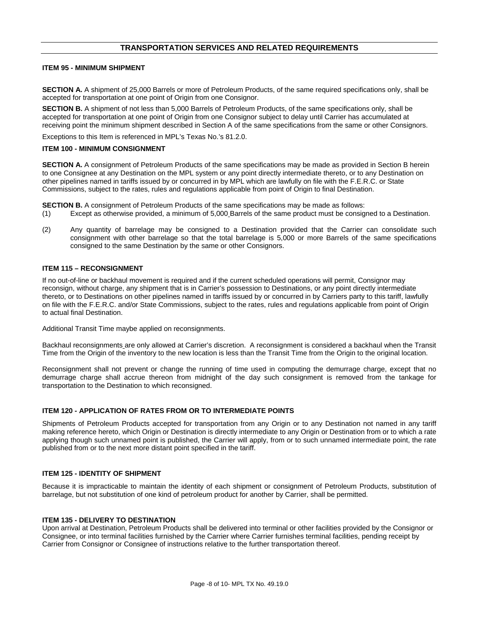# **TRANSPORTATION SERVICES AND RELATED REQUIREMENTS**

#### **ITEM 95 - MINIMUM SHIPMENT**

**SECTION A.** A shipment of 25,000 Barrels or more of Petroleum Products, of the same required specifications only, shall be accepted for transportation at one point of Origin from one Consignor.

**SECTION B.** A shipment of not less than 5,000 Barrels of Petroleum Products, of the same specifications only, shall be accepted for transportation at one point of Origin from one Consignor subject to delay until Carrier has accumulated at receiving point the minimum shipment described in Section A of the same specifications from the same or other Consignors.

Exceptions to this Item is referenced in MPL's Texas No.'s 81.2.0.

#### **ITEM 100 - MINIMUM CONSIGNMENT**

**SECTION A.** A consignment of Petroleum Products of the same specifications may be made as provided in Section B herein to one Consignee at any Destination on the MPL system or any point directly intermediate thereto, or to any Destination on other pipelines named in tariffs issued by or concurred in by MPL which are lawfully on file with the F.E.R.C. or State Commissions, subject to the rates, rules and regulations applicable from point of Origin to final Destination.

**SECTION B.** A consignment of Petroleum Products of the same specifications may be made as follows:

- (1) Except as otherwise provided, a minimum of 5,000 Barrels of the same product must be consigned to a Destination.
- (2) Any quantity of barrelage may be consigned to a Destination provided that the Carrier can consolidate such consignment with other barrelage so that the total barrelage is 5,000 or more Barrels of the same specifications consigned to the same Destination by the same or other Consignors.

#### **ITEM 115 – RECONSIGNMENT**

If no out-of-line or backhaul movement is required and if the current scheduled operations will permit, Consignor may reconsign, without charge, any shipment that is in Carrier's possession to Destinations, or any point directly intermediate thereto, or to Destinations on other pipelines named in tariffs issued by or concurred in by Carriers party to this tariff, lawfully on file with the F.E.R.C. and/or State Commissions, subject to the rates, rules and regulations applicable from point of Origin to actual final Destination.

Additional Transit Time maybe applied on reconsignments.

Backhaul reconsignments are only allowed at Carrier's discretion. A reconsignment is considered a backhaul when the Transit Time from the Origin of the inventory to the new location is less than the Transit Time from the Origin to the original location.

Reconsignment shall not prevent or change the running of time used in computing the demurrage charge, except that no demurrage charge shall accrue thereon from midnight of the day such consignment is removed from the tankage for transportation to the Destination to which reconsigned.

#### **ITEM 120 - APPLICATION OF RATES FROM OR TO INTERMEDIATE POINTS**

Shipments of Petroleum Products accepted for transportation from any Origin or to any Destination not named in any tariff making reference hereto, which Origin or Destination is directly intermediate to any Origin or Destination from or to which a rate applying though such unnamed point is published, the Carrier will apply, from or to such unnamed intermediate point, the rate published from or to the next more distant point specified in the tariff.

#### **ITEM 125 - IDENTITY OF SHIPMENT**

Because it is impracticable to maintain the identity of each shipment or consignment of Petroleum Products, substitution of barrelage, but not substitution of one kind of petroleum product for another by Carrier, shall be permitted.

#### **ITEM 135 - DELIVERY TO DESTINATION**

Upon arrival at Destination, Petroleum Products shall be delivered into terminal or other facilities provided by the Consignor or Consignee, or into terminal facilities furnished by the Carrier where Carrier furnishes terminal facilities, pending receipt by Carrier from Consignor or Consignee of instructions relative to the further transportation thereof.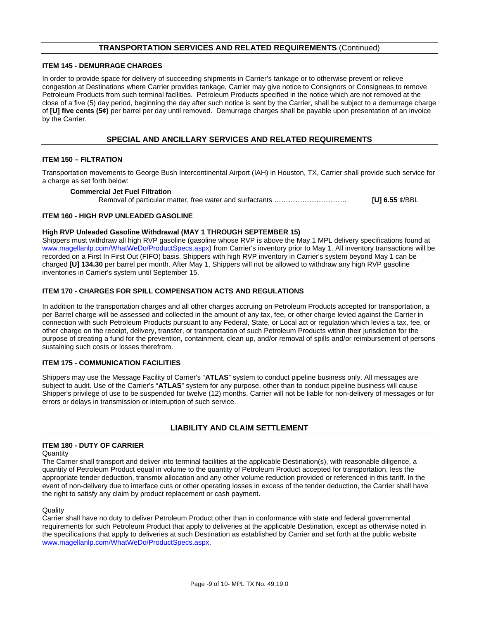# **TRANSPORTATION SERVICES AND RELATED REQUIREMENTS** (Continued)

#### **ITEM 145 - DEMURRAGE CHARGES**

In order to provide space for delivery of succeeding shipments in Carrier's tankage or to otherwise prevent or relieve congestion at Destinations where Carrier provides tankage, Carrier may give notice to Consignors or Consignees to remove Petroleum Products from such terminal facilities. Petroleum Products specified in the notice which are not removed at the close of a five (5) day period, beginning the day after such notice is sent by the Carrier, shall be subject to a demurrage charge of **[U] five cents (5¢)** per barrel per day until removed. Demurrage charges shall be payable upon presentation of an invoice by the Carrier.

## **SPECIAL AND ANCILLARY SERVICES AND RELATED REQUIREMENTS**

#### **ITEM 150 – FILTRATION**

Transportation movements to George Bush Intercontinental Airport (IAH) in Houston, TX, Carrier shall provide such service for a charge as set forth below:

#### **Commercial Jet Fuel Filtration**

Removal of particular matter, free water and surfactants …………………………. **[U] 6.55** ¢/BBL

#### **ITEM 160 - HIGH RVP UNLEADED GASOLINE**

#### **High RVP Unleaded Gasoline Withdrawal (MAY 1 THROUGH SEPTEMBER 15)**

Shippers must withdraw all high RVP gasoline (gasoline whose RVP is above the May 1 MPL delivery specifications found at [www.magellanlp.com/WhatWeDo/ProductSpecs.aspx\)](http://www.magellanlp.com/WhatWeDo/ProductSpecs.aspx) from Carrier's inventory prior to May 1. All inventory transactions will be recorded on a First In First Out (FIFO) basis. Shippers with high RVP inventory in Carrier's system beyond May 1 can be charged **[U] 134.30** per barrel per month. After May 1, Shippers will not be allowed to withdraw any high RVP gasoline inventories in Carrier's system until September 15.

#### **ITEM 170 - CHARGES FOR SPILL COMPENSATION ACTS AND REGULATIONS**

In addition to the transportation charges and all other charges accruing on Petroleum Products accepted for transportation, a per Barrel charge will be assessed and collected in the amount of any tax, fee, or other charge levied against the Carrier in connection with such Petroleum Products pursuant to any Federal, State, or Local act or regulation which levies a tax, fee, or other charge on the receipt, delivery, transfer, or transportation of such Petroleum Products within their jurisdiction for the purpose of creating a fund for the prevention, containment, clean up, and/or removal of spills and/or reimbursement of persons sustaining such costs or losses therefrom.

#### **ITEM 175 - COMMUNICATION FACILITIES**

Shippers may use the Message Facility of Carrier's "**ATLAS**" system to conduct pipeline business only. All messages are subject to audit. Use of the Carrier's "**ATLAS**" system for any purpose, other than to conduct pipeline business will cause Shipper's privilege of use to be suspended for twelve (12) months. Carrier will not be liable for non-delivery of messages or for errors or delays in transmission or interruption of such service.

### **LIABILITY AND CLAIM SETTLEMENT**

#### **ITEM 180 - DUTY OF CARRIER**

#### **Quantity**

The Carrier shall transport and deliver into terminal facilities at the applicable Destination(s), with reasonable diligence, a quantity of Petroleum Product equal in volume to the quantity of Petroleum Product accepted for transportation, less the appropriate tender deduction, transmix allocation and any other volume reduction provided or referenced in this tariff. In the event of non-delivery due to interface cuts or other operating losses in excess of the tender deduction, the Carrier shall have the right to satisfy any claim by product replacement or cash payment.

#### **Quality**

Carrier shall have no duty to deliver Petroleum Product other than in conformance with state and federal governmental requirements for such Petroleum Product that apply to deliveries at the applicable Destination, except as otherwise noted in the specifications that apply to deliveries at such Destination as established by Carrier and set forth at the public website [www.magellanlp.com/WhatWeDo/ProductSpecs.aspx.](http://www.magellanlp.com/WhatWeDo/ProductSpecs.aspx)